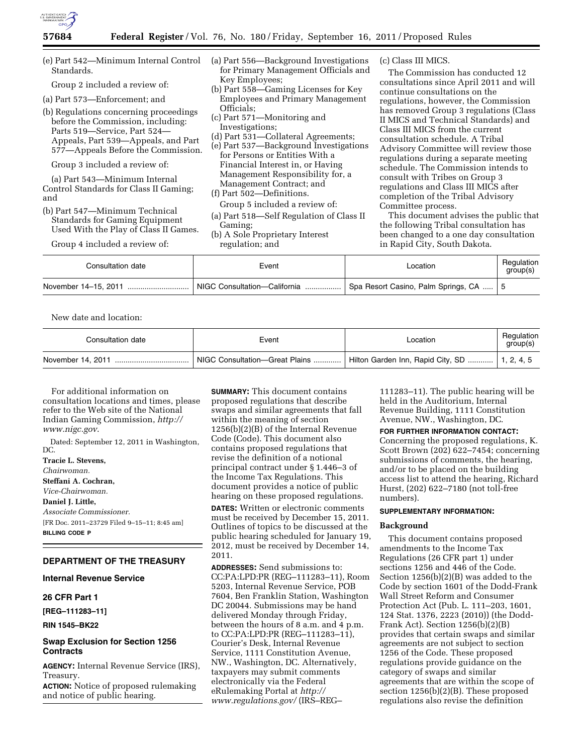

| (e) Part 542—Minimum Internal Control<br>Standards.<br>Group 2 included a review of:<br>(a) Part 573—Enforcement; and |                                                                           | (a) Part 556—Background Investigations<br>for Primary Management Officials and                                                                                                                           |                                                                                                             |
|-----------------------------------------------------------------------------------------------------------------------|---------------------------------------------------------------------------|----------------------------------------------------------------------------------------------------------------------------------------------------------------------------------------------------------|-------------------------------------------------------------------------------------------------------------|
|                                                                                                                       |                                                                           | Key Employees;<br>(b) Part 558—Gaming Licenses for Key<br><b>Employees and Primary Management</b><br>Officials:<br>(c) Part 571—Monitoring and<br>Investigations;<br>(d) Part 531—Collateral Agreements; |                                                                                                             |
|                                                                                                                       |                                                                           |                                                                                                                                                                                                          | (b) Regulations concerning proceedings<br>before the Commission, including:<br>Parts 519–Service, Part 524– |
|                                                                                                                       | Appeals, Part 539—Appeals, and Part<br>577—Appeals Before the Commission. |                                                                                                                                                                                                          | (e) Part 537-Background Investigations<br>for Persons or Entities With a                                    |
| Group 3 included a review of:                                                                                         |                                                                           | Financial Interest in, or Having                                                                                                                                                                         |                                                                                                             |
| (a) Part 543—Minimum Internal<br>Control Standards for Class II Gaming;<br>and                                        |                                                                           | Management Responsibility for, a<br>Management Contract; and<br>(f) Part 502—Definitions.                                                                                                                |                                                                                                             |
| (b) Part 547—Minimum Technical                                                                                        |                                                                           | Group 5 included a review of:<br>$\lambda$                                                                                                                                                               |                                                                                                             |

- (a) Part 518—Self Regulation of Class II Gaming;
- (b) A Sole Proprietary Interest regulation; and

(c) Class III MICS.

The Commission has conducted 12 consultations since April 2011 and will continue consultations on the regulations, however, the Commission has removed Group 3 regulations (Class II MICS and Technical Standards) and Class III MICS from the current consultation schedule. A Tribal Advisory Committee will review those regulations during a separate meeting schedule. The Commission intends to consult with Tribes on Group 3 regulations and Class III MICS after completion of the Tribal Advisory Committee process.

This document advises the public that the following Tribal consultation has been changed to a one day consultation in Rapid City, South Dakota.

| Consultation date | Event                                                                                          | Location | Regulation<br>qroup(s) |
|-------------------|------------------------------------------------------------------------------------------------|----------|------------------------|
|                   | November 14-15, 2011   NIGC Consultation-California   Spa Resort Casino, Palm Springs, CA    5 |          |                        |

New date and location:

| Consultation date | Event                          | ∟ocation                                        | Regulation<br>group(s) |
|-------------------|--------------------------------|-------------------------------------------------|------------------------|
|                   | NIGC Consultation-Great Plains | Hilton Garden Inn, Rapid City, SD    1, 2, 4, 5 |                        |

For additional information on consultation locations and times, please refer to the Web site of the National Indian Gaming Commission, *[http://](http://www.nigc.gov)  [www.nigc.gov](http://www.nigc.gov)*.

Standards for Gaming Equipment Used With the Play of Class II Games.

Group 4 included a review of:

Dated: September 12, 2011 in Washington, DC.

**Tracie L. Stevens,**  *Chairwoman.*  **Steffani A. Cochran,**  *Vice-Chairwoman.*  **Daniel J. Little,**  *Associate Commissioner.*  [FR Doc. 2011–23729 Filed 9–15–11; 8:45 am] **BILLING CODE P** 

### **DEPARTMENT OF THE TREASURY**

## **Internal Revenue Service**

# **26 CFR Part 1**

**[REG–111283–11]** 

**RIN 1545–BK22** 

# **Swap Exclusion for Section 1256 Contracts**

**AGENCY:** Internal Revenue Service (IRS), Treasury.

**ACTION:** Notice of proposed rulemaking and notice of public hearing.

**SUMMARY:** This document contains proposed regulations that describe swaps and similar agreements that fall within the meaning of section 1256(b)(2)(B) of the Internal Revenue Code (Code). This document also contains proposed regulations that revise the definition of a notional principal contract under § 1.446–3 of the Income Tax Regulations. This document provides a notice of public hearing on these proposed regulations.

**DATES:** Written or electronic comments must be received by December 15, 2011. Outlines of topics to be discussed at the public hearing scheduled for January 19, 2012, must be received by December 14, 2011.

**ADDRESSES:** Send submissions to: CC:PA:LPD:PR (REG–111283–11), Room 5203, Internal Revenue Service, POB 7604, Ben Franklin Station, Washington DC 20044. Submissions may be hand delivered Monday through Friday, between the hours of 8 a.m. and 4 p.m. to CC:PA:LPD:PR (REG–111283–11), Courier's Desk, Internal Revenue Service, 1111 Constitution Avenue, NW., Washington, DC. Alternatively, taxpayers may submit comments electronically via the Federal eRulemaking Portal at *[http://](http://www.regulations.gov/)  [www.regulations.gov/](http://www.regulations.gov/)* (IRS–REG–

111283–11). The public hearing will be held in the Auditorium, Internal Revenue Building, 1111 Constitution Avenue, NW., Washington, DC.

#### **FOR FURTHER INFORMATION CONTACT:**

Concerning the proposed regulations, K. Scott Brown (202) 622–7454; concerning submissions of comments, the hearing, and/or to be placed on the building access list to attend the hearing, Richard Hurst, (202) 622–7180 (not toll-free numbers).

# **SUPPLEMENTARY INFORMATION:**

## **Background**

This document contains proposed amendments to the Income Tax Regulations (26 CFR part 1) under sections 1256 and 446 of the Code. Section 1256(b)(2)(B) was added to the Code by section 1601 of the Dodd-Frank Wall Street Reform and Consumer Protection Act (Pub. L. 111–203, 1601, 124 Stat. 1376, 2223 (2010)) (the Dodd-Frank Act). Section 1256(b)(2)(B) provides that certain swaps and similar agreements are not subject to section 1256 of the Code. These proposed regulations provide guidance on the category of swaps and similar agreements that are within the scope of section 1256(b)(2)(B). These proposed regulations also revise the definition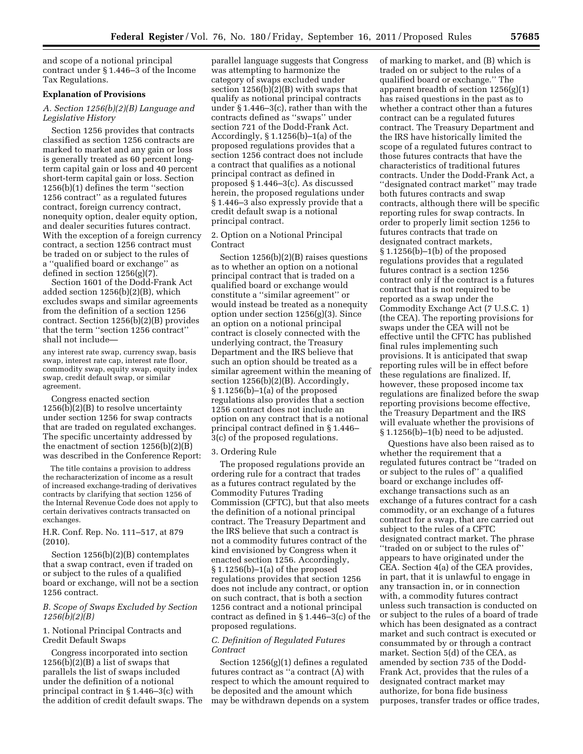and scope of a notional principal contract under § 1.446–3 of the Income Tax Regulations.

# **Explanation of Provisions**

# *A. Section 1256(b)(2)(B) Language and Legislative History*

Section 1256 provides that contracts classified as section 1256 contracts are marked to market and any gain or loss is generally treated as 60 percent longterm capital gain or loss and 40 percent short-term capital gain or loss. Section 1256(b)(1) defines the term ''section 1256 contract'' as a regulated futures contract, foreign currency contract, nonequity option, dealer equity option, and dealer securities futures contract. With the exception of a foreign currency contract, a section 1256 contract must be traded on or subject to the rules of a ''qualified board or exchange'' as defined in section  $1256(g)(7)$ .

Section 1601 of the Dodd-Frank Act added section 1256(b)(2)(B), which excludes swaps and similar agreements from the definition of a section 1256 contract. Section 1256(b)(2)(B) provides that the term ''section 1256 contract'' shall not include—

any interest rate swap, currency swap, basis swap, interest rate cap, interest rate floor, commodity swap, equity swap, equity index swap, credit default swap, or similar agreement.

Congress enacted section 1256(b)(2)(B) to resolve uncertainty under section 1256 for swap contracts that are traded on regulated exchanges. The specific uncertainty addressed by the enactment of section 1256(b)(2)(B) was described in the Conference Report:

The title contains a provision to address the recharacterization of income as a result of increased exchange-trading of derivatives contracts by clarifying that section 1256 of the Internal Revenue Code does not apply to certain derivatives contracts transacted on exchanges.

H.R. Conf. Rep. No. 111–517, at 879 (2010).

Section 1256(b)(2)(B) contemplates that a swap contract, even if traded on or subject to the rules of a qualified board or exchange, will not be a section 1256 contract.

# *B. Scope of Swaps Excluded by Section 1256(b)(2)(B)*

# 1. Notional Principal Contracts and Credit Default Swaps

Congress incorporated into section 1256(b)(2)(B) a list of swaps that parallels the list of swaps included under the definition of a notional principal contract in § 1.446–3(c) with the addition of credit default swaps. The

parallel language suggests that Congress was attempting to harmonize the category of swaps excluded under section 1256(b)(2)(B) with swaps that qualify as notional principal contracts under § 1.446–3(c), rather than with the contracts defined as ''swaps'' under section 721 of the Dodd-Frank Act. Accordingly, § 1.1256(b)–1(a) of the proposed regulations provides that a section 1256 contract does not include a contract that qualifies as a notional principal contract as defined in proposed § 1.446–3(c). As discussed herein, the proposed regulations under § 1.446–3 also expressly provide that a credit default swap is a notional principal contract.

2. Option on a Notional Principal Contract

Section 1256(b)(2)(B) raises questions as to whether an option on a notional principal contract that is traded on a qualified board or exchange would constitute a ''similar agreement'' or would instead be treated as a nonequity option under section 1256(g)(3). Since an option on a notional principal contract is closely connected with the underlying contract, the Treasury Department and the IRS believe that such an option should be treated as a similar agreement within the meaning of section 1256(b)(2)(B). Accordingly, § 1.1256(b)–1(a) of the proposed regulations also provides that a section 1256 contract does not include an option on any contract that is a notional principal contract defined in § 1.446– 3(c) of the proposed regulations.

## 3. Ordering Rule

The proposed regulations provide an ordering rule for a contract that trades as a futures contract regulated by the Commodity Futures Trading Commission (CFTC), but that also meets the definition of a notional principal contract. The Treasury Department and the IRS believe that such a contract is not a commodity futures contract of the kind envisioned by Congress when it enacted section 1256. Accordingly, § 1.1256(b)–1(a) of the proposed regulations provides that section 1256 does not include any contract, or option on such contract, that is both a section 1256 contract and a notional principal contract as defined in § 1.446–3(c) of the proposed regulations.

# *C. Definition of Regulated Futures Contract*

Section 1256(g)(1) defines a regulated futures contract as ''a contract (A) with respect to which the amount required to be deposited and the amount which may be withdrawn depends on a system of marking to market, and (B) which is traded on or subject to the rules of a qualified board or exchange.'' The apparent breadth of section 1256(g)(1) has raised questions in the past as to whether a contract other than a futures contract can be a regulated futures contract. The Treasury Department and the IRS have historically limited the scope of a regulated futures contract to those futures contracts that have the characteristics of traditional futures contracts. Under the Dodd-Frank Act, a ''designated contract market'' may trade both futures contracts and swap contracts, although there will be specific reporting rules for swap contracts. In order to properly limit section 1256 to futures contracts that trade on designated contract markets, § 1.1256(b)–1(b) of the proposed regulations provides that a regulated futures contract is a section 1256 contract only if the contract is a futures contract that is not required to be reported as a swap under the Commodity Exchange Act (7 U.S.C. 1) (the CEA). The reporting provisions for swaps under the CEA will not be effective until the CFTC has published final rules implementing such provisions. It is anticipated that swap reporting rules will be in effect before these regulations are finalized. If, however, these proposed income tax regulations are finalized before the swap reporting provisions become effective, the Treasury Department and the IRS will evaluate whether the provisions of § 1.1256(b)–1(b) need to be adjusted.

Questions have also been raised as to whether the requirement that a regulated futures contract be ''traded on or subject to the rules of'' a qualified board or exchange includes offexchange transactions such as an exchange of a futures contract for a cash commodity, or an exchange of a futures contract for a swap, that are carried out subject to the rules of a CFTC designated contract market. The phrase ''traded on or subject to the rules of'' appears to have originated under the CEA. Section 4(a) of the CEA provides, in part, that it is unlawful to engage in any transaction in, or in connection with, a commodity futures contract unless such transaction is conducted on or subject to the rules of a board of trade which has been designated as a contract market and such contract is executed or consummated by or through a contract market. Section 5(d) of the CEA, as amended by section 735 of the Dodd-Frank Act, provides that the rules of a designated contract market may authorize, for bona fide business purposes, transfer trades or office trades,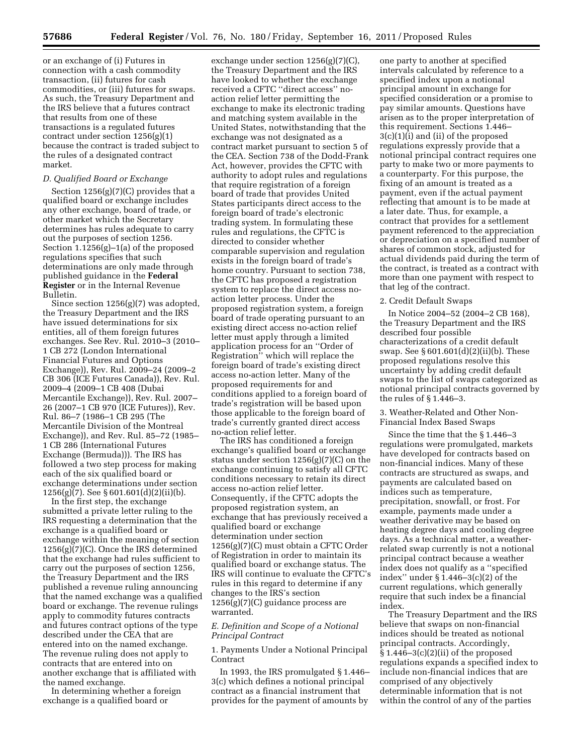or an exchange of (i) Futures in connection with a cash commodity transaction, (ii) futures for cash commodities, or (iii) futures for swaps. As such, the Treasury Department and the IRS believe that a futures contract that results from one of these transactions is a regulated futures contract under section 1256(g)(1) because the contract is traded subject to the rules of a designated contract market.

# *D. Qualified Board or Exchange*

Section  $1256(g)(7)(C)$  provides that a qualified board or exchange includes any other exchange, board of trade, or other market which the Secretary determines has rules adequate to carry out the purposes of section 1256. Section 1.1256(g)–1(a) of the proposed regulations specifies that such determinations are only made through published guidance in the **Federal Register** or in the Internal Revenue Bulletin.

Since section 1256(g)(7) was adopted, the Treasury Department and the IRS have issued determinations for six entities, all of them foreign futures exchanges. See Rev. Rul. 2010–3 (2010– 1 CB 272 (London International Financial Futures and Options Exchange)), Rev. Rul. 2009–24 (2009–2 CB 306 (ICE Futures Canada)), Rev. Rul. 2009–4 (2009–1 CB 408 (Dubai Mercantile Exchange)), Rev. Rul. 2007– 26 (2007–1 CB 970 (ICE Futures)), Rev. Rul. 86–7 (1986–1 CB 295 (The Mercantile Division of the Montreal Exchange)), and Rev. Rul. 85–72 (1985– 1 CB 286 (International Futures Exchange (Bermuda))). The IRS has followed a two step process for making each of the six qualified board or exchange determinations under section 1256(g)(7). See § 601.601(d)(2)(ii)(b).

In the first step, the exchange submitted a private letter ruling to the IRS requesting a determination that the exchange is a qualified board or exchange within the meaning of section 1256(g)(7)(C). Once the IRS determined that the exchange had rules sufficient to carry out the purposes of section 1256, the Treasury Department and the IRS published a revenue ruling announcing that the named exchange was a qualified board or exchange. The revenue rulings apply to commodity futures contracts and futures contract options of the type described under the CEA that are entered into on the named exchange. The revenue ruling does not apply to contracts that are entered into on another exchange that is affiliated with the named exchange.

In determining whether a foreign exchange is a qualified board or

exchange under section 1256(g)(7)(C), the Treasury Department and the IRS have looked to whether the exchange received a CFTC ''direct access'' noaction relief letter permitting the exchange to make its electronic trading and matching system available in the United States, notwithstanding that the exchange was not designated as a contract market pursuant to section 5 of the CEA. Section 738 of the Dodd-Frank Act, however, provides the CFTC with authority to adopt rules and regulations that require registration of a foreign board of trade that provides United States participants direct access to the foreign board of trade's electronic trading system. In formulating these rules and regulations, the CFTC is directed to consider whether comparable supervision and regulation exists in the foreign board of trade's home country. Pursuant to section 738, the CFTC has proposed a registration system to replace the direct access noaction letter process. Under the proposed registration system, a foreign board of trade operating pursuant to an existing direct access no-action relief letter must apply through a limited application process for an ''Order of Registration'' which will replace the foreign board of trade's existing direct access no-action letter. Many of the proposed requirements for and conditions applied to a foreign board of trade's registration will be based upon those applicable to the foreign board of trade's currently granted direct access no-action relief letter.

The IRS has conditioned a foreign exchange's qualified board or exchange status under section 1256(g)(7)(C) on the exchange continuing to satisfy all CFTC conditions necessary to retain its direct access no-action relief letter. Consequently, if the CFTC adopts the proposed registration system, an exchange that has previously received a qualified board or exchange determination under section 1256(g)(7)(C) must obtain a CFTC Order of Registration in order to maintain its qualified board or exchange status. The IRS will continue to evaluate the CFTC's rules in this regard to determine if any changes to the IRS's section 1256(g)(7)(C) guidance process are warranted.

# *E. Definition and Scope of a Notional Principal Contract*

1. Payments Under a Notional Principal Contract

In 1993, the IRS promulgated § 1.446– 3(c) which defines a notional principal contract as a financial instrument that provides for the payment of amounts by

one party to another at specified intervals calculated by reference to a specified index upon a notional principal amount in exchange for specified consideration or a promise to pay similar amounts. Questions have arisen as to the proper interpretation of this requirement. Sections 1.446– 3(c)(1)(i) and (ii) of the proposed regulations expressly provide that a notional principal contract requires one party to make two or more payments to a counterparty. For this purpose, the fixing of an amount is treated as a payment, even if the actual payment reflecting that amount is to be made at a later date. Thus, for example, a contract that provides for a settlement payment referenced to the appreciation or depreciation on a specified number of shares of common stock, adjusted for actual dividends paid during the term of the contract, is treated as a contract with more than one payment with respect to that leg of the contract.

#### 2. Credit Default Swaps

In Notice 2004–52 (2004–2 CB 168), the Treasury Department and the IRS described four possible characterizations of a credit default swap. See § 601.601(d)(2)(ii)(b). These proposed regulations resolve this uncertainty by adding credit default swaps to the list of swaps categorized as notional principal contracts governed by the rules of § 1.446–3.

3. Weather-Related and Other Non-Financial Index Based Swaps

Since the time that the § 1.446–3 regulations were promulgated, markets have developed for contracts based on non-financial indices. Many of these contracts are structured as swaps, and payments are calculated based on indices such as temperature, precipitation, snowfall, or frost. For example, payments made under a weather derivative may be based on heating degree days and cooling degree days. As a technical matter, a weatherrelated swap currently is not a notional principal contract because a weather index does not qualify as a ''specified index'' under § 1.446–3(c)(2) of the current regulations, which generally require that such index be a financial index.

The Treasury Department and the IRS believe that swaps on non-financial indices should be treated as notional principal contracts. Accordingly,  $§ 1.446-3(c)(2)(ii)$  of the proposed regulations expands a specified index to include non-financial indices that are comprised of any objectively determinable information that is not within the control of any of the parties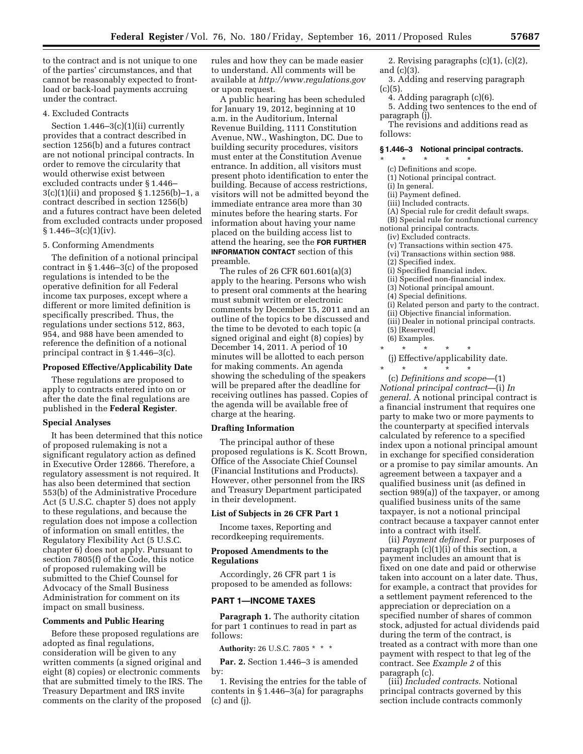to the contract and is not unique to one of the parties' circumstances, and that cannot be reasonably expected to frontload or back-load payments accruing under the contract.

# 4. Excluded Contracts

Section  $1.446 - 3(c)(1)(ii)$  currently provides that a contract described in section 1256(b) and a futures contract are not notional principal contracts. In order to remove the circularity that would otherwise exist between excluded contracts under § 1.446– 3(c)(1)(ii) and proposed § 1.1256(b)–1, a contract described in section 1256(b) and a futures contract have been deleted from excluded contracts under proposed  $§ 1.446 - 3(c)(1)(iv).$ 

### 5. Conforming Amendments

The definition of a notional principal contract in § 1.446–3(c) of the proposed regulations is intended to be the operative definition for all Federal income tax purposes, except where a different or more limited definition is specifically prescribed. Thus, the regulations under sections 512, 863, 954, and 988 have been amended to reference the definition of a notional principal contract in § 1.446–3(c).

## **Proposed Effective/Applicability Date**

These regulations are proposed to apply to contracts entered into on or after the date the final regulations are published in the **Federal Register**.

#### **Special Analyses**

It has been determined that this notice of proposed rulemaking is not a significant regulatory action as defined in Executive Order 12866. Therefore, a regulatory assessment is not required. It has also been determined that section 553(b) of the Administrative Procedure Act (5 U.S.C. chapter 5) does not apply to these regulations, and because the regulation does not impose a collection of information on small entitles, the Regulatory Flexibility Act (5 U.S.C. chapter 6) does not apply. Pursuant to section 7805(f) of the Code, this notice of proposed rulemaking will be submitted to the Chief Counsel for Advocacy of the Small Business Administration for comment on its impact on small business.

# **Comments and Public Hearing**

Before these proposed regulations are adopted as final regulations, consideration will be given to any written comments (a signed original and eight (8) copies) or electronic comments that are submitted timely to the IRS. The Treasury Department and IRS invite comments on the clarity of the proposed

rules and how they can be made easier to understand. All comments will be available at *<http://www.regulations.gov>* or upon request.

A public hearing has been scheduled for January 19, 2012, beginning at 10 a.m. in the Auditorium, Internal Revenue Building, 1111 Constitution Avenue, NW., Washington, DC. Due to building security procedures, visitors must enter at the Constitution Avenue entrance. In addition, all visitors must present photo identification to enter the building. Because of access restrictions, visitors will not be admitted beyond the immediate entrance area more than 30 minutes before the hearing starts. For information about having your name placed on the building access list to attend the hearing, see the **FOR FURTHER INFORMATION CONTACT** section of this preamble.

The rules of 26 CFR 601.601(a)(3) apply to the hearing. Persons who wish to present oral comments at the hearing must submit written or electronic comments by December 15, 2011 and an outline of the topics to be discussed and the time to be devoted to each topic (a signed original and eight (8) copies) by December 14, 2011. A period of 10 minutes will be allotted to each person for making comments. An agenda showing the scheduling of the speakers will be prepared after the deadline for receiving outlines has passed. Copies of the agenda will be available free of charge at the hearing.

#### **Drafting Information**

The principal author of these proposed regulations is K. Scott Brown, Office of the Associate Chief Counsel (Financial Institutions and Products). However, other personnel from the IRS and Treasury Department participated in their development.

### **List of Subjects in 26 CFR Part 1**

Income taxes, Reporting and recordkeeping requirements.

### **Proposed Amendments to the Regulations**

Accordingly, 26 CFR part 1 is proposed to be amended as follows:

# **PART 1—INCOME TAXES**

**Paragraph 1.** The authority citation for part 1 continues to read in part as follows:

**Authority:** 26 U.S.C. 7805 \* \* \*

**Par. 2.** Section 1.446–3 is amended by:

1. Revising the entries for the table of contents in § 1.446–3(a) for paragraphs (c) and (j).

2. Revising paragraphs (c)(1), (c)(2), and (c)(3).

- 3. Adding and reserving paragraph  $(c)(5)$ .
	- 4. Adding paragraph (c)(6).
- 5. Adding two sentences to the end of paragraph (j).
- The revisions and additions read as follows:

#### **§ 1.446–3 Notional principal contracts.**

- \* \* \* \* \*
	- (c) Definitions and scope.
	- (1) Notional principal contract.
	- (i) In general. (ii) Payment defined.
- (iii) Included contracts.
- 
- (A) Special rule for credit default swaps.

(B) Special rule for nonfunctional currency notional principal contracts.

- (iv) Excluded contracts.
- (v) Transactions within section 475.
- (vi) Transactions within section 988.
- (2) Specified index.
- (i) Specified financial index.
- (ii) Specified non-financial index.
- (3) Notional principal amount.
- (4) Special definitions.
- (i) Related person and party to the contract.
- (ii) Objective financial information.
- (iii) Dealer in notional principal contracts.
- (5) [Reserved] (6) Examples.
- 
- \* \* \* \* \* (j) Effective/applicability date.
- \* \* \* \* \* \*

(c) *Definitions and scope*—(1) *Notional principal contract*—(i) *In general.* A notional principal contract is a financial instrument that requires one party to make two or more payments to the counterparty at specified intervals calculated by reference to a specified index upon a notional principal amount in exchange for specified consideration or a promise to pay similar amounts. An agreement between a taxpayer and a qualified business unit (as defined in section 989(a)) of the taxpayer, or among qualified business units of the same taxpayer, is not a notional principal contract because a taxpayer cannot enter into a contract with itself.

(ii) *Payment defined.* For purposes of paragraph (c)(1)(i) of this section, a payment includes an amount that is fixed on one date and paid or otherwise taken into account on a later date. Thus, for example, a contract that provides for a settlement payment referenced to the appreciation or depreciation on a specified number of shares of common stock, adjusted for actual dividends paid during the term of the contract, is treated as a contract with more than one payment with respect to that leg of the contract. See *Example 2* of this paragraph (c).

(iii) *Included contracts.* Notional principal contracts governed by this section include contracts commonly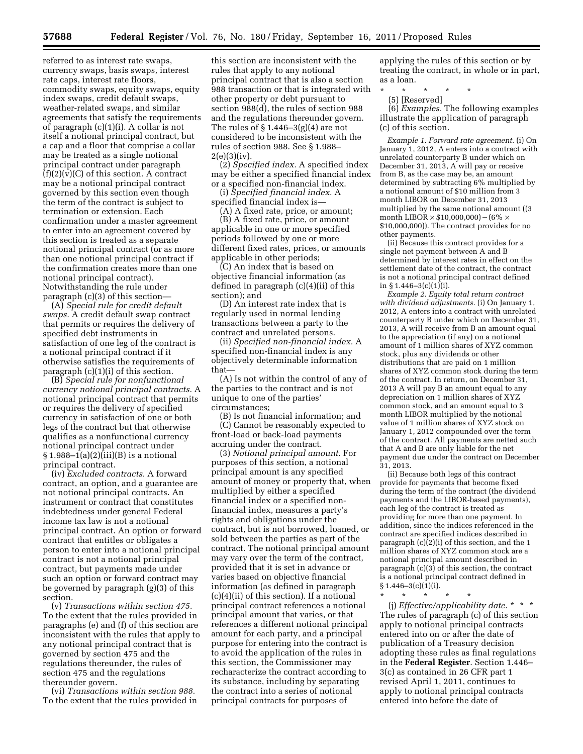referred to as interest rate swaps, currency swaps, basis swaps, interest rate caps, interest rate floors, commodity swaps, equity swaps, equity index swaps, credit default swaps, weather-related swaps, and similar agreements that satisfy the requirements of paragraph (c)(1)(i). A collar is not itself a notional principal contract, but a cap and a floor that comprise a collar may be treated as a single notional principal contract under paragraph  $(f)(2)(v)(C)$  of this section. A contract may be a notional principal contract governed by this section even though the term of the contract is subject to termination or extension. Each confirmation under a master agreement to enter into an agreement covered by this section is treated as a separate notional principal contract (or as more than one notional principal contract if the confirmation creates more than one notional principal contract). Notwithstanding the rule under paragraph (c)(3) of this section—

(A) *Special rule for credit default swaps.* A credit default swap contract that permits or requires the delivery of specified debt instruments in satisfaction of one leg of the contract is a notional principal contract if it otherwise satisfies the requirements of paragraph (c)(1)(i) of this section.

(B) *Special rule for nonfunctional currency notional principal contracts.* A notional principal contract that permits or requires the delivery of specified currency in satisfaction of one or both legs of the contract but that otherwise qualifies as a nonfunctional currency notional principal contract under  $§ 1.988-1(a)(2)(iii)(B)$  is a notional principal contract.

(iv) *Excluded contracts.* A forward contract, an option, and a guarantee are not notional principal contracts. An instrument or contract that constitutes indebtedness under general Federal income tax law is not a notional principal contract. An option or forward contract that entitles or obligates a person to enter into a notional principal contract is not a notional principal contract, but payments made under such an option or forward contract may be governed by paragraph (g)(3) of this section.

(v) *Transactions within section 475.*  To the extent that the rules provided in paragraphs (e) and (f) of this section are inconsistent with the rules that apply to any notional principal contract that is governed by section 475 and the regulations thereunder, the rules of section 475 and the regulations thereunder govern.

(vi) *Transactions within section 988.*  To the extent that the rules provided in

this section are inconsistent with the rules that apply to any notional principal contract that is also a section 988 transaction or that is integrated with other property or debt pursuant to section 988(d), the rules of section 988 and the regulations thereunder govern. The rules of  $\S 1.446 - 3(g)(4)$  are not considered to be inconsistent with the rules of section 988. See § 1.988–  $2(e)(3)(iv).$ 

(2) *Specified index.* A specified index may be either a specified financial index or a specified non-financial index.

(i) *Specified financial index.* A specified financial index is—

(A) A fixed rate, price, or amount; (B) A fixed rate, price, or amount applicable in one or more specified periods followed by one or more different fixed rates, prices, or amounts applicable in other periods;

(C) An index that is based on objective financial information (as defined in paragraph (c)(4)(ii) of this section); and

(D) An interest rate index that is regularly used in normal lending transactions between a party to the contract and unrelated persons.

(ii) *Specified non-financial index.* A specified non-financial index is any objectively determinable information that—

(A) Is not within the control of any of the parties to the contract and is not unique to one of the parties' circumstances;

(B) Is not financial information; and (C) Cannot be reasonably expected to front-load or back-load payments accruing under the contract.

(3) *Notional principal amount.* For purposes of this section, a notional principal amount is any specified amount of money or property that, when multiplied by either a specified financial index or a specified nonfinancial index, measures a party's rights and obligations under the contract, but is not borrowed, loaned, or sold between the parties as part of the contract. The notional principal amount may vary over the term of the contract, provided that it is set in advance or varies based on objective financial information (as defined in paragraph (c)(4)(ii) of this section). If a notional principal contract references a notional principal amount that varies, or that references a different notional principal amount for each party, and a principal purpose for entering into the contract is to avoid the application of the rules in this section, the Commissioner may recharacterize the contract according to its substance, including by separating the contract into a series of notional principal contracts for purposes of

applying the rules of this section or by treating the contract, in whole or in part, as a loan.

\* \* \* \* \*

(5) [Reserved]

(6) *Examples.* The following examples illustrate the application of paragraph (c) of this section.

*Example 1. Forward rate agreement.* (i) On January 1, 2012, A enters into a contract with unrelated counterparty B under which on December 31, 2013, A will pay or receive from B, as the case may be, an amount determined by subtracting 6% multiplied by a notional amount of \$10 million from 3 month LIBOR on December 31, 2013 multiplied by the same notional amount ((3 month LIBOR  $\times$  \$10,000,000) – (6%  $\times$ \$10,000,000)). The contract provides for no other payments.

(ii) Because this contract provides for a single net payment between A and B determined by interest rates in effect on the settlement date of the contract, the contract is not a notional principal contract defined in  $\S 1.446 - 3(c)(1)(i)$ .

*Example 2. Equity total return contract with dividend adjustments.* (i) On January 1, 2012, A enters into a contract with unrelated counterparty B under which on December 31, 2013, A will receive from B an amount equal to the appreciation (if any) on a notional amount of 1 million shares of XYZ common stock, plus any dividends or other distributions that are paid on 1 million shares of XYZ common stock during the term of the contract. In return, on December 31, 2013 A will pay B an amount equal to any depreciation on 1 million shares of XYZ common stock, and an amount equal to 3 month LIBOR multiplied by the notional value of 1 million shares of XYZ stock on January 1, 2012 compounded over the term of the contract. All payments are netted such that A and B are only liable for the net payment due under the contract on December 31, 2013.

(ii) Because both legs of this contract provide for payments that become fixed during the term of the contract (the dividend payments and the LIBOR-based payments), each leg of the contract is treated as providing for more than one payment. In addition, since the indices referenced in the contract are specified indices described in paragraph (c)(2)(i) of this section, and the 1 million shares of XYZ common stock are a notional principal amount described in paragraph (c)(3) of this section, the contract is a notional principal contract defined in  $§ 1.446 - 3(c)(1)(i).$ 

\* \* \* \* \* (j) *Effective/applicability date.* \* \* \* The rules of paragraph (c) of this section apply to notional principal contracts entered into on or after the date of publication of a Treasury decision adopting these rules as final regulations in the **Federal Register**. Section 1.446– 3(c) as contained in 26 CFR part 1 revised April 1, 2011, continues to apply to notional principal contracts entered into before the date of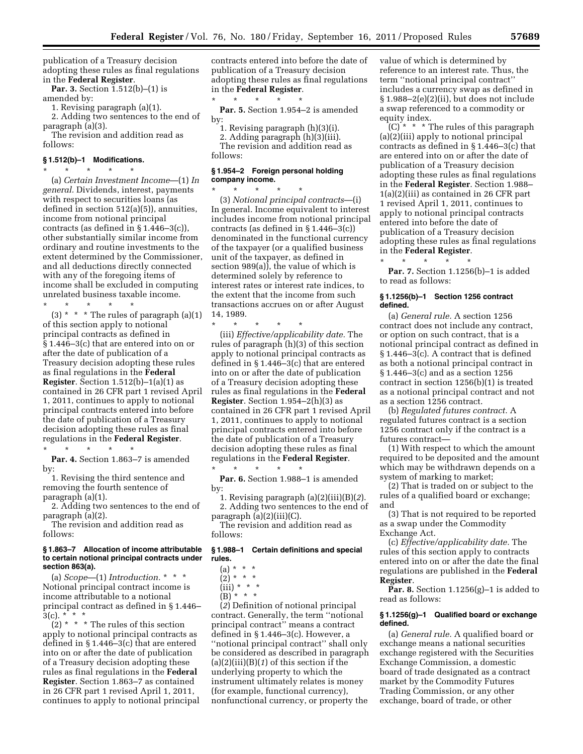publication of a Treasury decision adopting these rules as final regulations in the **Federal Register**.

**Par. 3.** Section 1.512(b)–(1) is

amended by:

1. Revising paragraph (a)(1). 2. Adding two sentences to the end of

paragraph (a)(3).

The revision and addition read as follows:

#### **§ 1.512(b)–1 Modifications.**  \* \* \* \* \*

(a) *Certain Investment Income*—(1) *In general.* Dividends, interest, payments with respect to securities loans (as defined in section 512(a)(5)), annuities, income from notional principal contracts (as defined in § 1.446–3(c)), other substantially similar income from ordinary and routine investments to the extent determined by the Commissioner, and all deductions directly connected with any of the foregoing items of income shall be excluded in computing unrelated business taxable income.

\* \* \* \* \* (3)  $*$   $*$   $*$  The rules of paragraph (a)(1) of this section apply to notional principal contracts as defined in § 1.446–3(c) that are entered into on or after the date of publication of a Treasury decision adopting these rules as final regulations in the **Federal Register**. Section 1.512(b)–1(a)(1) as contained in 26 CFR part 1 revised April 1, 2011, continues to apply to notional principal contracts entered into before the date of publication of a Treasury decision adopting these rules as final regulations in the **Federal Register**.

Par. 4. Section 1.863-7 is amended by:

\* \* \* \* \*

1. Revising the third sentence and removing the fourth sentence of paragraph (a)(1).

2. Adding two sentences to the end of paragraph (a)(2).

The revision and addition read as follows:

### **§ 1.863–7 Allocation of income attributable to certain notional principal contracts under section 863(a).**

(a) *Scope*—(1) *Introduction.* \* \* \* Notional principal contract income is income attributable to a notional principal contract as defined in § 1.446–  $3(c).$  \* \* \*

 $(2)$  \* \* \* The rules of this section apply to notional principal contracts as defined in § 1.446–3(c) that are entered into on or after the date of publication of a Treasury decision adopting these rules as final regulations in the **Federal Register**. Section 1.863–7 as contained in 26 CFR part 1 revised April 1, 2011, continues to apply to notional principal

contracts entered into before the date of publication of a Treasury decision adopting these rules as final regulations in the **Federal Register**.

\* \* \* \* \* Par. 5. Section 1.954-2 is amended by:

1. Revising paragraph (h)(3)(i). 2. Adding paragraph (h)(3)(iii).

The revision and addition read as follows:

### **§ 1.954–2 Foreign personal holding company income.**   $\star$   $\star$

(3) *Notional principal contracts*—(i) In general. Income equivalent to interest includes income from notional principal contracts (as defined in § 1.446–3(c)) denominated in the functional currency of the taxpayer (or a qualified business unit of the taxpayer, as defined in section 989(a)), the value of which is determined solely by reference to interest rates or interest rate indices, to the extent that the income from such transactions accrues on or after August 14, 1989.

\* \* \* \* \* (iii) *Effective/applicability date.* The rules of paragraph (h)(3) of this section apply to notional principal contracts as defined in § 1.446–3(c) that are entered into on or after the date of publication of a Treasury decision adopting these rules as final regulations in the **Federal Register**. Section 1.954–2(h)(3) as contained in 26 CFR part 1 revised April 1, 2011, continues to apply to notional principal contracts entered into before the date of publication of a Treasury decision adopting these rules as final regulations in the **Federal Register**.

\* \* \* \* \* **Par. 6.** Section 1.988–1 is amended by:

1. Revising paragraph (a)(2)(iii)(B)(*2*). 2. Adding two sentences to the end of paragraph (a)(2)(iii)(C).

The revision and addition read as follows:

### **§ 1.988–1 Certain definitions and special rules.**

- $(a) * * * *$
- $(2) * * * *$
- (iii) \* \* \*
- $(B)$ <sup>\*</sup> \* \*

(*2*) Definition of notional principal contract. Generally, the term ''notional principal contract'' means a contract defined in § 1.446–3(c). However, a ''notional principal contract'' shall only be considered as described in paragraph (a)(2)(iii)(B)(*1*) of this section if the underlying property to which the instrument ultimately relates is money (for example, functional currency), nonfunctional currency, or property the

value of which is determined by reference to an interest rate. Thus, the term ''notional principal contract'' includes a currency swap as defined in § 1.988–2(e)(2)(ii), but does not include a swap referenced to a commodity or equity index.

 $(C)^*$  \* \* The rules of this paragraph (a)(2)(iii) apply to notional principal contracts as defined in § 1.446–3(c) that are entered into on or after the date of publication of a Treasury decision adopting these rules as final regulations in the **Federal Register**. Section 1.988– 1(a)(2)(iii) as contained in 26 CFR part 1 revised April 1, 2011, continues to apply to notional principal contracts entered into before the date of publication of a Treasury decision adopting these rules as final regulations in the **Federal Register**.

\* \* \* \* \* **Par. 7.** Section 1.1256(b)–1 is added to read as follows:

### **§ 1.1256(b)–1 Section 1256 contract defined.**

(a) *General rule.* A section 1256 contract does not include any contract, or option on such contract, that is a notional principal contract as defined in § 1.446–3(c). A contract that is defined as both a notional principal contract in § 1.446–3(c) and as a section 1256 contract in section 1256(b)(1) is treated as a notional principal contract and not as a section 1256 contract.

(b) *Regulated futures contract.* A regulated futures contract is a section 1256 contract only if the contract is a futures contract—

(1) With respect to which the amount required to be deposited and the amount which may be withdrawn depends on a system of marking to market;

(2) That is traded on or subject to the rules of a qualified board or exchange; and

(3) That is not required to be reported as a swap under the Commodity Exchange Act.

(c) *Effective/applicability date.* The rules of this section apply to contracts entered into on or after the date the final regulations are published in the **Federal Register**.

**Par. 8.** Section 1.1256(g)–1 is added to read as follows:

#### **§ 1.1256(g)–1 Qualified board or exchange defined.**

(a) *General rule.* A qualified board or exchange means a national securities exchange registered with the Securities Exchange Commission, a domestic board of trade designated as a contract market by the Commodity Futures Trading Commission, or any other exchange, board of trade, or other